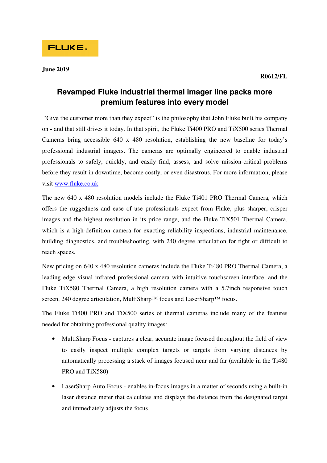# **Revamped Fluke industrial thermal imager line packs more premium features into every model**

 "Give the customer more than they expect" is the philosophy that John Fluke built his company on - and that still drives it today. In that spirit, the Fluke Ti400 PRO and TiX500 series Thermal Cameras bring accessible 640 x 480 resolution, establishing the new baseline for today's professional industrial imagers. The cameras are optimally engineered to enable industrial professionals to safely, quickly, and easily find, assess, and solve mission-critical problems before they result in downtime, become costly, or even disastrous. For more information, please visit www.fluke.co.uk

The new 640 x 480 resolution models include the Fluke Ti401 PRO Thermal Camera, which offers the ruggedness and ease of use professionals expect from Fluke, plus sharper, crisper images and the highest resolution in its price range, and the Fluke TiX501 Thermal Camera, which is a high-definition camera for exacting reliability inspections, industrial maintenance, building diagnostics, and troubleshooting, with 240 degree articulation for tight or difficult to reach spaces.

New pricing on 640 x 480 resolution cameras include the Fluke Ti480 PRO Thermal Camera, a leading edge visual infrared professional camera with intuitive touchscreen interface, and the Fluke TiX580 Thermal Camera, a high resolution camera with a 5.7inch responsive touch screen, 240 degree articulation, MultiSharp™ focus and LaserSharp™ focus.

The Fluke Ti400 PRO and TiX500 series of thermal cameras include many of the features needed for obtaining professional quality images:

- MultiSharp Focus captures a clear, accurate image focused throughout the field of view to easily inspect multiple complex targets or targets from varying distances by automatically processing a stack of images focused near and far (available in the Ti480 PRO and TiX580)
- LaserSharp Auto Focus enables in-focus images in a matter of seconds using a built-in laser distance meter that calculates and displays the distance from the designated target and immediately adjusts the focus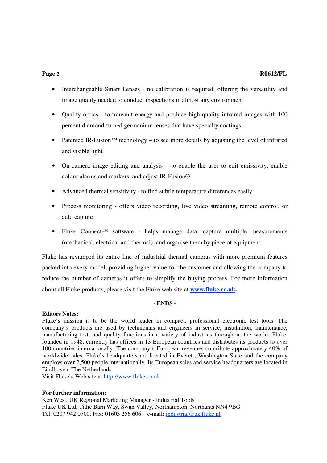### **Page 2 R0612/FL**

- Interchangeable Smart Lenses no calibration is required, offering the versatility and image quality needed to conduct inspections in almost any environment
- Quality optics to transmit energy and produce high-quality infrared images with 100 percent diamond-turned germanium lenses that have specialty coatings
- Patented IR-Fusion<sup>TM</sup> technology to see more details by adjusting the level of infrared and visible light
- On-camera image editing and analysis to enable the user to edit emissivity, enable colour alarms and markers, and adjust IR-Fusion®
- Advanced thermal sensitivity to find subtle temperature differences easily
- Process monitoring offers video recording, live video streaming, remote control, or auto capture
- Fluke Connect<sup>TM</sup> software helps manage data, capture multiple measurements (mechanical, electrical and thermal), and organise them by piece of equipment.

Fluke has revamped its entire line of industrial thermal cameras with more premium features packed into every model, providing higher value for the customer and allowing the company to reduce the number of cameras it offers to simplify the buying process. For more information about all Fluke products, please visit the Fluke web site at **www.fluke.co.uk.**

## **- ENDS -**

### **Editors Notes:**

Fluke's mission is to be the world leader in compact, professional electronic test tools. The company's products are used by technicians and engineers in service, installation, maintenance, manufacturing test, and quality functions in a variety of industries throughout the world. Fluke, founded in 1948, currently has offices in 13 European countries and distributes its products to over 100 countries internationally. The company's European revenues contribute approximately 40% of worldwide sales. Fluke's headquarters are located in Everett, Washington State and the company employs over 2,500 people internationally. Its European sales and service headquarters are located in Eindhoven, The Netherlands.

Visit Fluke's Web site at http://www.fluke.co.uk

### **For further information:**

Ken West, UK Regional Marketing Manager - Industrial Tools Fluke UK Ltd, Tithe Barn Way, Swan Valley, Northampton, Northants NN4 9BG Tel: 0207 942 0700. Fax: 01603 256 606. e-mail: industrial@uk.fluke.nl